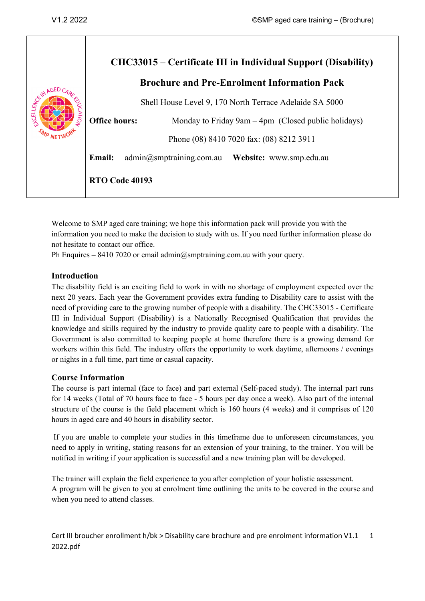| CENN AGED<br>EXCEL | CHC33015 – Certificate III in Individual Support (Disability)<br><b>Brochure and Pre-Enrolment Information Pack</b> |
|--------------------|---------------------------------------------------------------------------------------------------------------------|
|                    | Shell House Level 9, 170 North Terrace Adelaide SA 5000<br><b>Office hours:</b>                                     |
|                    | Monday to Friday 9am $-4$ pm (Closed public holidays)<br>Phone (08) 8410 7020 fax: (08) 8212 3911                   |
|                    | admin@smptraining.com.au Website: www.smp.edu.au<br><b>Email:</b>                                                   |
|                    | <b>RTO Code 40193</b>                                                                                               |

Welcome to SMP aged care training; we hope this information pack will provide you with the information you need to make the decision to study with us. If you need further information please do not hesitate to contact our office.

Ph Enquires – 8410 7020 or email admin $@s$ mptraining.com.au with your query.

#### **Introduction**

The disability field is an exciting field to work in with no shortage of employment expected over the next 20 years. Each year the Government provides extra funding to Disability care to assist with the need of providing care to the growing number of people with a disability. The CHC33015 - Certificate III in Individual Support (Disability) is a Nationally Recognised Qualification that provides the knowledge and skills required by the industry to provide quality care to people with a disability. The Government is also committed to keeping people at home therefore there is a growing demand for workers within this field. The industry offers the opportunity to work daytime, afternoons / evenings or nights in a full time, part time or casual capacity.

#### **Course Information**

The course is part internal (face to face) and part external (Self-paced study). The internal part runs for 14 weeks (Total of 70 hours face to face - 5 hours per day once a week). Also part of the internal structure of the course is the field placement which is 160 hours (4 weeks) and it comprises of 120 hours in aged care and 40 hours in disability sector.

If you are unable to complete your studies in this timeframe due to unforeseen circumstances, you need to apply in writing, stating reasons for an extension of your training, to the trainer. You will be notified in writing if your application is successful and a new training plan will be developed.

The trainer will explain the field experience to you after completion of your holistic assessment. A program will be given to you at enrolment time outlining the units to be covered in the course and when you need to attend classes.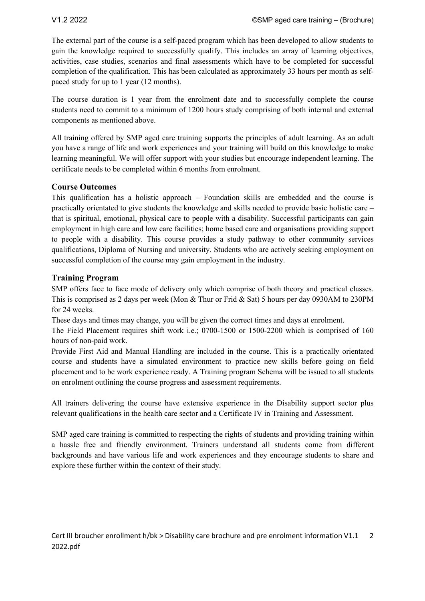The external part of the course is a self-paced program which has been developed to allow students to gain the knowledge required to successfully qualify. This includes an array of learning objectives, activities, case studies, scenarios and final assessments which have to be completed for successful completion of the qualification. This has been calculated as approximately 33 hours per month as selfpaced study for up to 1 year (12 months).

The course duration is 1 year from the enrolment date and to successfully complete the course students need to commit to a minimum of 1200 hours study comprising of both internal and external components as mentioned above.

All training offered by SMP aged care training supports the principles of adult learning. As an adult you have a range of life and work experiences and your training will build on this knowledge to make learning meaningful. We will offer support with your studies but encourage independent learning. The certificate needs to be completed within 6 months from enrolment.

# **Course Outcomes**

This qualification has a holistic approach – Foundation skills are embedded and the course is practically orientated to give students the knowledge and skills needed to provide basic holistic care – that is spiritual, emotional, physical care to people with a disability. Successful participants can gain employment in high care and low care facilities; home based care and organisations providing support to people with a disability. This course provides a study pathway to other community services qualifications, Diploma of Nursing and university. Students who are actively seeking employment on successful completion of the course may gain employment in the industry.

# **Training Program**

SMP offers face to face mode of delivery only which comprise of both theory and practical classes. This is comprised as 2 days per week (Mon & Thur or Frid & Sat) 5 hours per day 0930AM to 230PM for 24 weeks.

These days and times may change, you will be given the correct times and days at enrolment.

The Field Placement requires shift work i.e.; 0700-1500 or 1500-2200 which is comprised of 160 hours of non-paid work.

Provide First Aid and Manual Handling are included in the course. This is a practically orientated course and students have a simulated environment to practice new skills before going on field placement and to be work experience ready. A Training program Schema will be issued to all students on enrolment outlining the course progress and assessment requirements.

All trainers delivering the course have extensive experience in the Disability support sector plus relevant qualifications in the health care sector and a Certificate IV in Training and Assessment.

SMP aged care training is committed to respecting the rights of students and providing training within a hassle free and friendly environment. Trainers understand all students come from different backgrounds and have various life and work experiences and they encourage students to share and explore these further within the context of their study.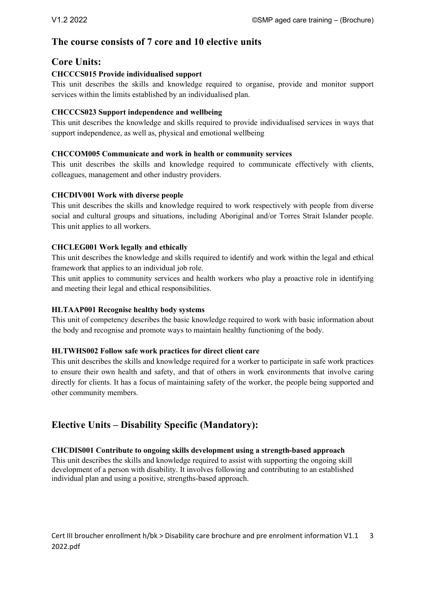# **The course consists of 7 core and 10 elective units**

# **Core Units:**

# **CHCCCS015 Provide individualised support**

This unit describes the skills and knowledge required to organise, provide and monitor support services within the limits established by an individualised plan.

## **CHCCCS023 Support independence and wellbeing**

This unit describes the knowledge and skills required to provide individualised services in ways that support independence, as well as, physical and emotional wellbeing

## **CHCCOM005 Communicate and work in health or community services**

This unit describes the skills and knowledge required to communicate effectively with clients, colleagues, management and other industry providers.

## **CHCDIV001 Work with diverse people**

This unit describes the skills and knowledge required to work respectively with people from diverse social and cultural groups and situations, including Aboriginal and/or Torres Strait Islander people. This unit applies to all workers.

## **CHCLEG001 Work legally and ethically**

This unit describes the knowledge and skills required to identify and work within the legal and ethical framework that applies to an individual job role.

This unit applies to community services and health workers who play a proactive role in identifying and meeting their legal and ethical responsibilities.

#### **HLTAAP001 Recognise healthy body systems**

This unit of competency describes the basic knowledge required to work with basic information about the body and recognise and promote ways to maintain healthy functioning of the body.

#### **HLTWHS002 Follow safe work practices for direct client care**

This unit describes the skills and knowledge required for a worker to participate in safe work practices to ensure their own health and safety, and that of others in work environments that involve caring directly for clients. It has a focus of maintaining safety of the worker, the people being supported and other community members.

# **Elective Units – Disability Specific (Mandatory):**

#### **CHCDIS001 Contribute to ongoing skills development using a strength-based approach**

This unit describes the skills and knowledge required to assist with supporting the ongoing skill development of a person with disability. It involves following and contributing to an established individual plan and using a positive, strengths-based approach.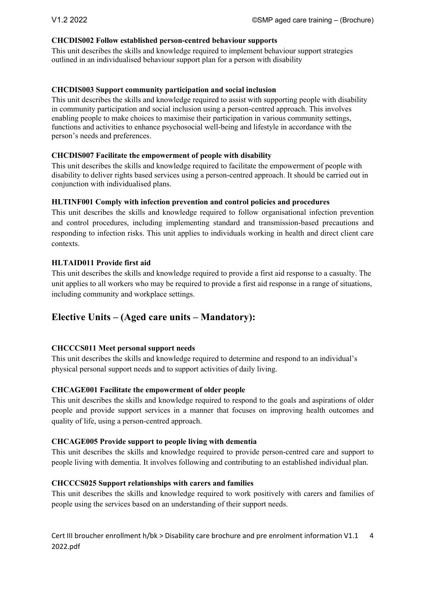#### **CHCDIS002 Follow established person-centred behaviour supports**

This unit describes the skills and knowledge required to implement behaviour support strategies outlined in an individualised behaviour support plan for a person with disability

#### **CHCDIS003 Support community participation and social inclusion**

This unit describes the skills and knowledge required to assist with supporting people with disability in community participation and social inclusion using a person-centred approach. This involves enabling people to make choices to maximise their participation in various community settings, functions and activities to enhance psychosocial well-being and lifestyle in accordance with the person's needs and preferences.

#### **CHCDIS007 Facilitate the empowerment of people with disability**

This unit describes the skills and knowledge required to facilitate the empowerment of people with disability to deliver rights based services using a person-centred approach. It should be carried out in conjunction with individualised plans.

#### **HLTINF001 Comply with infection prevention and control policies and procedures**

This unit describes the skills and knowledge required to follow organisational infection prevention and control procedures, including implementing standard and transmission-based precautions and responding to infection risks. This unit applies to individuals working in health and direct client care contexts.

#### **HLTAID011 Provide first aid**

This unit describes the skills and knowledge required to provide a first aid response to a casualty. The unit applies to all workers who may be required to provide a first aid response in a range of situations, including community and workplace settings.

# **Elective Units – (Aged care units – Mandatory):**

#### **CHCCCS011 Meet personal support needs**

This unit describes the skills and knowledge required to determine and respond to an individual's physical personal support needs and to support activities of daily living.

#### **CHCAGE001 Facilitate the empowerment of older people**

This unit describes the skills and knowledge required to respond to the goals and aspirations of older people and provide support services in a manner that focuses on improving health outcomes and quality of life, using a person-centred approach.

#### **CHCAGE005 Provide support to people living with dementia**

This unit describes the skills and knowledge required to provide person-centred care and support to people living with dementia. It involves following and contributing to an established individual plan.

#### **CHCCCS025 Support relationships with carers and families**

This unit describes the skills and knowledge required to work positively with carers and families of people using the services based on an understanding of their support needs.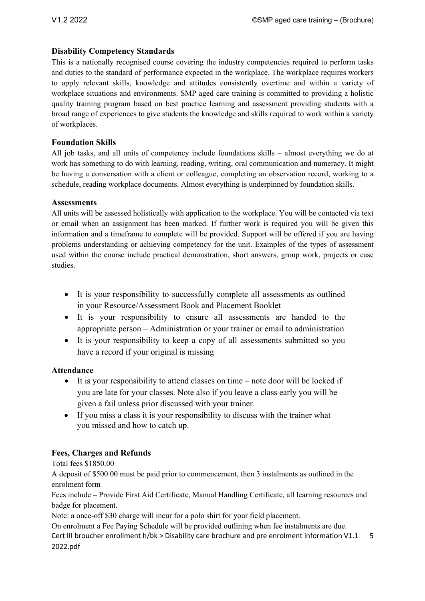## **Disability Competency Standards**

This is a nationally recognised course covering the industry competencies required to perform tasks and duties to the standard of performance expected in the workplace. The workplace requires workers to apply relevant skills, knowledge and attitudes consistently overtime and within a variety of workplace situations and environments. SMP aged care training is committed to providing a holistic quality training program based on best practice learning and assessment providing students with a broad range of experiences to give students the knowledge and skills required to work within a variety of workplaces.

## **Foundation Skills**

All job tasks, and all units of competency include foundations skills – almost everything we do at work has something to do with learning, reading, writing, oral communication and numeracy. It might be having a conversation with a client or colleague, completing an observation record, working to a schedule, reading workplace documents. Almost everything is underpinned by foundation skills.

#### **Assessments**

All units will be assessed holistically with application to the workplace. You will be contacted via text or email when an assignment has been marked. If further work is required you will be given this information and a timeframe to complete will be provided. Support will be offered if you are having problems understanding or achieving competency for the unit. Examples of the types of assessment used within the course include practical demonstration, short answers, group work, projects or case studies.

- It is your responsibility to successfully complete all assessments as outlined in your Resource/Assessment Book and Placement Booklet
- It is your responsibility to ensure all assessments are handed to the appropriate person – Administration or your trainer or email to administration
- It is your responsibility to keep a copy of all assessments submitted so you have a record if your original is missing

#### **Attendance**

- It is your responsibility to attend classes on time note door will be locked if you are late for your classes. Note also if you leave a class early you will be given a fail unless prior discussed with your trainer.
- If you miss a class it is your responsibility to discuss with the trainer what you missed and how to catch up.

# **Fees, Charges and Refunds**

Total fees \$1850.00

A deposit of \$500.00 must be paid prior to commencement, then 3 instalments as outlined in the enrolment form

Fees include – Provide First Aid Certificate, Manual Handling Certificate, all learning resources and badge for placement.

Note: a once-off \$30 charge will incur for a polo shirt for your field placement.

Cert III broucher enrollment h/bk > Disability care brochure and pre enrolment information V1.1 2022.pdf 5 On enrolment a Fee Paying Schedule will be provided outlining when fee instalments are due.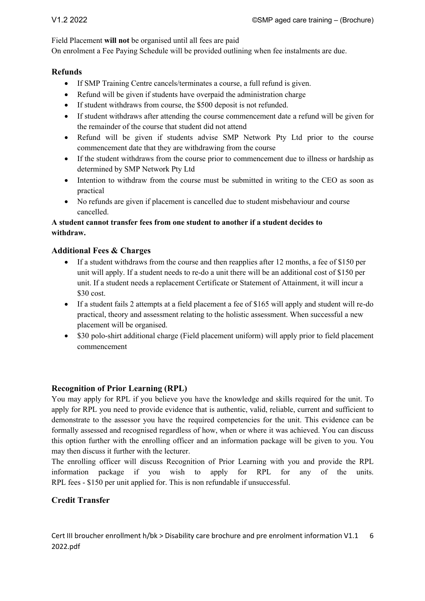Field Placement **will not** be organised until all fees are paid

On enrolment a Fee Paying Schedule will be provided outlining when fee instalments are due.

## **Refunds**

- If SMP Training Centre cancels/terminates a course, a full refund is given.
- Refund will be given if students have overpaid the administration charge
- If student withdraws from course, the \$500 deposit is not refunded.
- If student withdraws after attending the course commencement date a refund will be given for the remainder of the course that student did not attend
- Refund will be given if students advise SMP Network Pty Ltd prior to the course commencement date that they are withdrawing from the course
- If the student withdraws from the course prior to commencement due to illness or hardship as determined by SMP Network Pty Ltd
- Intention to withdraw from the course must be submitted in writing to the CEO as soon as practical
- No refunds are given if placement is cancelled due to student misbehaviour and course cancelled.

## **A student cannot transfer fees from one student to another if a student decides to withdraw.**

## **Additional Fees & Charges**

- If a student withdraws from the course and then reapplies after 12 months, a fee of \$150 per unit will apply. If a student needs to re-do a unit there will be an additional cost of \$150 per unit. If a student needs a replacement Certificate or Statement of Attainment, it will incur a \$30 cost.
- If a student fails 2 attempts at a field placement a fee of \$165 will apply and student will re-do practical, theory and assessment relating to the holistic assessment. When successful a new placement will be organised.
- \$30 polo-shirt additional charge (Field placement uniform) will apply prior to field placement commencement

# **Recognition of Prior Learning (RPL)**

You may apply for RPL if you believe you have the knowledge and skills required for the unit. To apply for RPL you need to provide evidence that is authentic, valid, reliable, current and sufficient to demonstrate to the assessor you have the required competencies for the unit. This evidence can be formally assessed and recognised regardless of how, when or where it was achieved. You can discuss this option further with the enrolling officer and an information package will be given to you. You may then discuss it further with the lecturer.

The enrolling officer will discuss Recognition of Prior Learning with you and provide the RPL information package if you wish to apply for RPL for any of the units. RPL fees - \$150 per unit applied for. This is non refundable if unsuccessful.

# **Credit Transfer**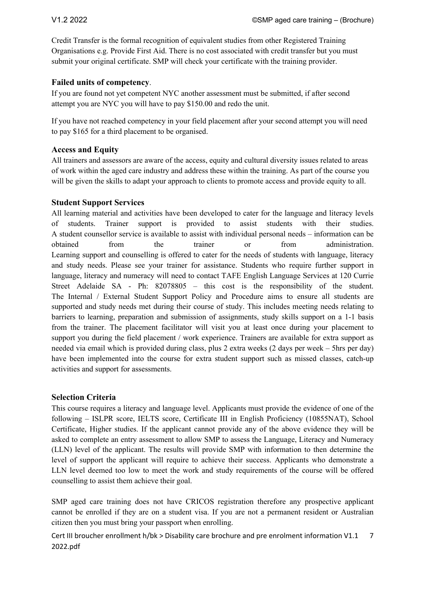Credit Transfer is the formal recognition of equivalent studies from other Registered Training Organisations e.g. Provide First Aid. There is no cost associated with credit transfer but you must submit your original certificate. SMP will check your certificate with the training provider.

## **Failed units of competency**.

If you are found not yet competent NYC another assessment must be submitted, if after second attempt you are NYC you will have to pay \$150.00 and redo the unit.

If you have not reached competency in your field placement after your second attempt you will need to pay \$165 for a third placement to be organised.

## **Access and Equity**

All trainers and assessors are aware of the access, equity and cultural diversity issues related to areas of work within the aged care industry and address these within the training. As part of the course you will be given the skills to adapt your approach to clients to promote access and provide equity to all.

## **Student Support Services**

All learning material and activities have been developed to cater for the language and literacy levels of students. Trainer support is provided to assist students with their studies. A student counsellor service is available to assist with individual personal needs – information can be obtained from the trainer or from administration. Learning support and counselling is offered to cater for the needs of students with language, literacy and study needs. Please see your trainer for assistance. Students who require further support in language, literacy and numeracy will need to contact TAFE English Language Services at 120 Currie Street Adelaide SA - Ph: 82078805 – this cost is the responsibility of the student. The Internal / External Student Support Policy and Procedure aims to ensure all students are supported and study needs met during their course of study. This includes meeting needs relating to barriers to learning, preparation and submission of assignments, study skills support on a 1-1 basis from the trainer. The placement facilitator will visit you at least once during your placement to support you during the field placement / work experience. Trainers are available for extra support as needed via email which is provided during class, plus 2 extra weeks (2 days per week – 5hrs per day) have been implemented into the course for extra student support such as missed classes, catch-up activities and support for assessments.

#### **Selection Criteria**

This course requires a literacy and language level. Applicants must provide the evidence of one of the following – ISLPR score, IELTS score, Certificate III in English Proficiency (10855NAT), School Certificate, Higher studies. If the applicant cannot provide any of the above evidence they will be asked to complete an entry assessment to allow SMP to assess the Language, Literacy and Numeracy (LLN) level of the applicant. The results will provide SMP with information to then determine the level of support the applicant will require to achieve their success. Applicants who demonstrate a LLN level deemed too low to meet the work and study requirements of the course will be offered counselling to assist them achieve their goal.

SMP aged care training does not have CRICOS registration therefore any prospective applicant cannot be enrolled if they are on a student visa. If you are not a permanent resident or Australian citizen then you must bring your passport when enrolling.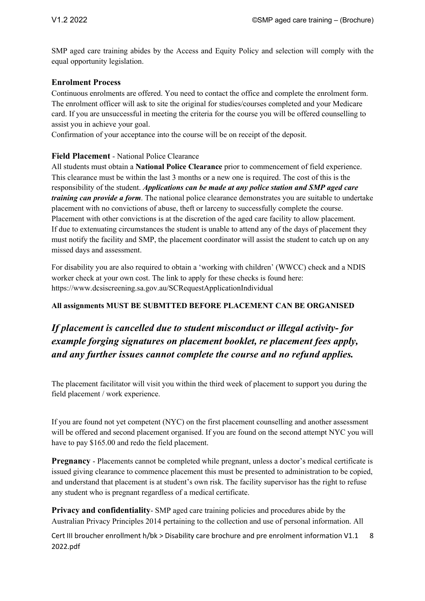SMP aged care training abides by the Access and Equity Policy and selection will comply with the equal opportunity legislation.

#### **Enrolment Process**

Continuous enrolments are offered. You need to contact the office and complete the enrolment form. The enrolment officer will ask to site the original for studies/courses completed and your Medicare card. If you are unsuccessful in meeting the criteria for the course you will be offered counselling to assist you in achieve your goal.

Confirmation of your acceptance into the course will be on receipt of the deposit.

#### **Field Placement** - National Police Clearance

All students must obtain a **National Police Clearance** prior to commencement of field experience. This clearance must be within the last 3 months or a new one is required. The cost of this is the responsibility of the student. *Applications can be made at any police station and SMP aged care training can provide a form*. The national police clearance demonstrates you are suitable to undertake placement with no convictions of abuse, theft or larceny to successfully complete the course. Placement with other convictions is at the discretion of the aged care facility to allow placement. If due to extenuating circumstances the student is unable to attend any of the days of placement they must notify the facility and SMP, the placement coordinator will assist the student to catch up on any missed days and assessment.

For disability you are also required to obtain a 'working with children' (WWCC) check and a NDIS worker check at your own cost. The link to apply for these checks is found here: https://www.dcsiscreening.sa.gov.au/SCRequestApplicationIndividual

#### **All assignments MUST BE SUBMTTED BEFORE PLACEMENT CAN BE ORGANISED**

# *If placement is cancelled due to student misconduct or illegal activity- for example forging signatures on placement booklet, re placement fees apply, and any further issues cannot complete the course and no refund applies.*

The placement facilitator will visit you within the third week of placement to support you during the field placement / work experience.

If you are found not yet competent (NYC) on the first placement counselling and another assessment will be offered and second placement organised. If you are found on the second attempt NYC you will have to pay \$165.00 and redo the field placement.

**Pregnancy** - Placements cannot be completed while pregnant, unless a doctor's medical certificate is issued giving clearance to commence placement this must be presented to administration to be copied, and understand that placement is at student's own risk. The facility supervisor has the right to refuse any student who is pregnant regardless of a medical certificate.

**Privacy and confidentiality**- SMP aged care training policies and procedures abide by the Australian Privacy Principles 2014 pertaining to the collection and use of personal information. All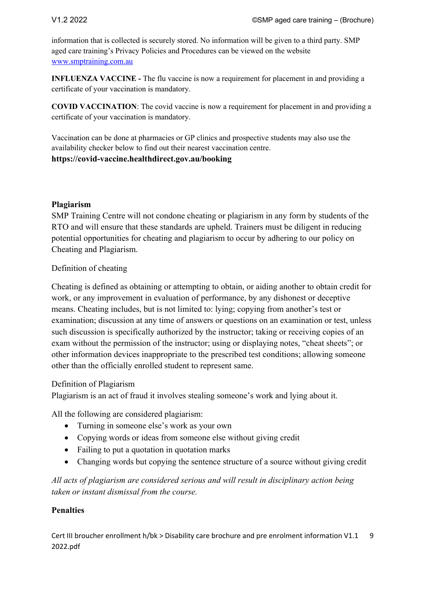information that is collected is securely stored. No information will be given to a third party. SMP aged care training's Privacy Policies and Procedures can be viewed on the website www.smptraining.com.au

**INFLUENZA VACCINE -** The flu vaccine is now a requirement for placement in and providing a certificate of your vaccination is mandatory.

**COVID VACCINATION**: The covid vaccine is now a requirement for placement in and providing a certificate of your vaccination is mandatory.

Vaccination can be done at pharmacies or GP clinics and prospective students may also use the availability checker below to find out their nearest vaccination centre. **https://covid-vaccine.healthdirect.gov.au/booking**

## **Plagiarism**

SMP Training Centre will not condone cheating or plagiarism in any form by students of the RTO and will ensure that these standards are upheld. Trainers must be diligent in reducing potential opportunities for cheating and plagiarism to occur by adhering to our policy on Cheating and Plagiarism.

Definition of cheating

Cheating is defined as obtaining or attempting to obtain, or aiding another to obtain credit for work, or any improvement in evaluation of performance, by any dishonest or deceptive means. Cheating includes, but is not limited to: lying; copying from another's test or examination; discussion at any time of answers or questions on an examination or test, unless such discussion is specifically authorized by the instructor; taking or receiving copies of an exam without the permission of the instructor; using or displaying notes, "cheat sheets"; or other information devices inappropriate to the prescribed test conditions; allowing someone other than the officially enrolled student to represent same.

# Definition of Plagiarism

Plagiarism is an act of fraud it involves stealing someone's work and lying about it.

All the following are considered plagiarism:

- Turning in someone else's work as your own
- Copying words or ideas from someone else without giving credit
- Failing to put a quotation in quotation marks
- Changing words but copying the sentence structure of a source without giving credit

*All acts of plagiarism are considered serious and will result in disciplinary action being taken or instant dismissal from the course.*

# **Penalties**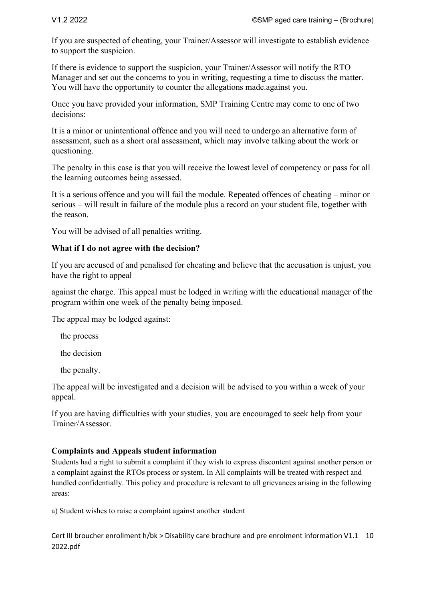If you are suspected of cheating, your Trainer/Assessor will investigate to establish evidence to support the suspicion.

If there is evidence to support the suspicion, your Trainer/Assessor will notify the RTO Manager and set out the concerns to you in writing, requesting a time to discuss the matter. You will have the opportunity to counter the allegations made.against you.

Once you have provided your information, SMP Training Centre may come to one of two decisions:

It is a minor or unintentional offence and you will need to undergo an alternative form of assessment, such as a short oral assessment, which may involve talking about the work or questioning.

The penalty in this case is that you will receive the lowest level of competency or pass for all the learning outcomes being assessed.

It is a serious offence and you will fail the module. Repeated offences of cheating – minor or serious – will result in failure of the module plus a record on your student file, together with the reason.

You will be advised of all penalties writing.

## **What if I do not agree with the decision?**

If you are accused of and penalised for cheating and believe that the accusation is unjust, you have the right to appeal

against the charge. This appeal must be lodged in writing with the educational manager of the program within one week of the penalty being imposed.

The appeal may be lodged against:

the process

the decision

the penalty.

The appeal will be investigated and a decision will be advised to you within a week of your appeal.

If you are having difficulties with your studies, you are encouraged to seek help from your Trainer/Assessor.

# **Complaints and Appeals student information**

Students had a right to submit a complaint if they wish to express discontent against another person or a complaint against the RTOs process or system. In All complaints will be treated with respect and handled confidentially. This policy and procedure is relevant to all grievances arising in the following areas:

a) Student wishes to raise a complaint against another student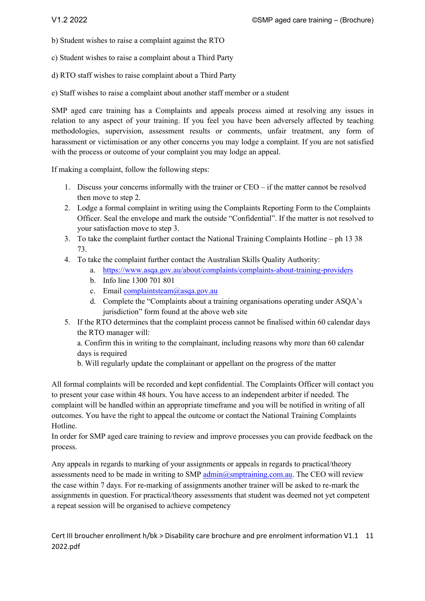b) Student wishes to raise a complaint against the RTO

c) Student wishes to raise a complaint about a Third Party

d) RTO staff wishes to raise complaint about a Third Party

e) Staff wishes to raise a complaint about another staff member or a student

SMP aged care training has a Complaints and appeals process aimed at resolving any issues in relation to any aspect of your training. If you feel you have been adversely affected by teaching methodologies, supervision, assessment results or comments, unfair treatment, any form of harassment or victimisation or any other concerns you may lodge a complaint. If you are not satisfied with the process or outcome of your complaint you may lodge an appeal.

If making a complaint, follow the following steps:

- 1. Discuss your concerns informally with the trainer or CEO if the matter cannot be resolved then move to step 2.
- 2. Lodge a formal complaint in writing using the Complaints Reporting Form to the Complaints Officer. Seal the envelope and mark the outside "Confidential". If the matter is not resolved to your satisfaction move to step 3.
- 3. To take the complaint further contact the National Training Complaints Hotline ph 13 38 73.
- 4. To take the complaint further contact the Australian Skills Quality Authority:
	- a. https://www.asqa.gov.au/about/complaints/complaints-about-training-providers
	- b. Info line 1300 701 801
	- c. Email complaintsteam@asqa.gov.au
	- d. Complete the "Complaints about a training organisations operating under ASQA's jurisdiction" form found at the above web site
- 5. If the RTO determines that the complaint process cannot be finalised within 60 calendar days the RTO manager will:

a. Confirm this in writing to the complainant, including reasons why more than 60 calendar days is required

b. Will regularly update the complainant or appellant on the progress of the matter

All formal complaints will be recorded and kept confidential. The Complaints Officer will contact you to present your case within 48 hours. You have access to an independent arbiter if needed. The complaint will be handled within an appropriate timeframe and you will be notified in writing of all outcomes. You have the right to appeal the outcome or contact the National Training Complaints Hotline.

In order for SMP aged care training to review and improve processes you can provide feedback on the process.

Any appeals in regards to marking of your assignments or appeals in regards to practical/theory assessments need to be made in writing to SMP  $\frac{\text{admin}(a)}{\text{symptraining.com.au}}$ . The CEO will review the case within 7 days. For re-marking of assignments another trainer will be asked to re-mark the assignments in question. For practical/theory assessments that student was deemed not yet competent a repeat session will be organised to achieve competency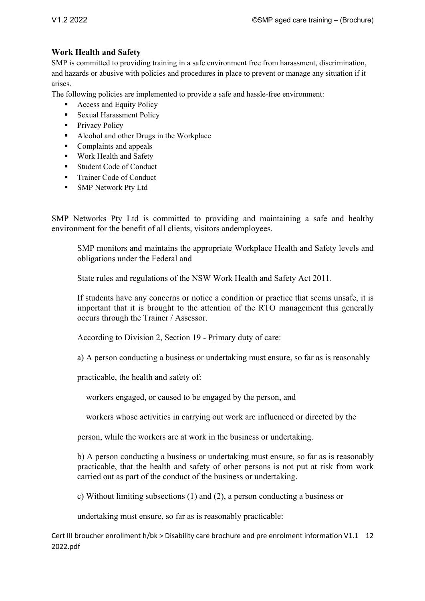# **Work Health and Safety**

SMP is committed to providing training in a safe environment free from harassment, discrimination, and hazards or abusive with policies and procedures in place to prevent or manage any situation if it arises.

The following policies are implemented to provide a safe and hassle-free environment:

- Access and Equity Policy
- Sexual Harassment Policy
- Privacy Policy
- Alcohol and other Drugs in the Workplace
- Complaints and appeals
- Work Health and Safety
- Student Code of Conduct
- Trainer Code of Conduct
- § SMP Network Pty Ltd

SMP Networks Pty Ltd is committed to providing and maintaining a safe and healthy environment for the benefit of all clients, visitors andemployees.

SMP monitors and maintains the appropriate Workplace Health and Safety levels and obligations under the Federal and

State rules and regulations of the NSW Work Health and Safety Act 2011.

If students have any concerns or notice a condition or practice that seems unsafe, it is important that it is brought to the attention of the RTO management this generally occurs through the Trainer / Assessor.

According to Division 2, Section 19 - Primary duty of care:

a) A person conducting a business or undertaking must ensure, so far as is reasonably

practicable, the health and safety of:

workers engaged, or caused to be engaged by the person, and

workers whose activities in carrying out work are influenced or directed by the

person, while the workers are at work in the business or undertaking.

b) A person conducting a business or undertaking must ensure, so far as is reasonably practicable, that the health and safety of other persons is not put at risk from work carried out as part of the conduct of the business or undertaking.

c) Without limiting subsections (1) and (2), a person conducting a business or

undertaking must ensure, so far as is reasonably practicable: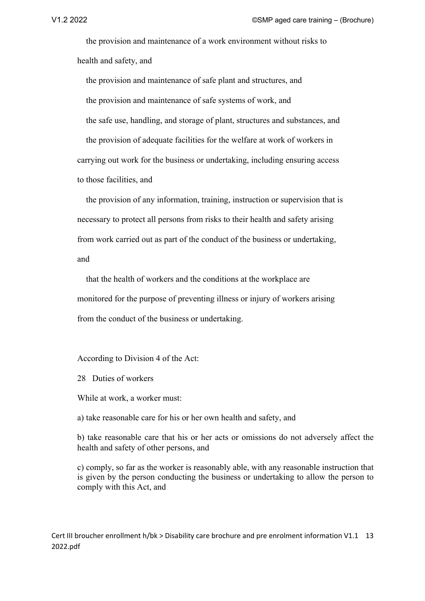the provision and maintenance of a work environment without risks to health and safety, and

 the provision and maintenance of safe plant and structures, and the provision and maintenance of safe systems of work, and the safe use, handling, and storage of plant, structures and substances, and the provision of adequate facilities for the welfare at work of workers in carrying out work for the business or undertaking, including ensuring access to those facilities, and

 the provision of any information, training, instruction or supervision that is necessary to protect all persons from risks to their health and safety arising from work carried out as part of the conduct of the business or undertaking, and

 that the health of workers and the conditions at the workplace are monitored for the purpose of preventing illness or injury of workers arising from the conduct of the business or undertaking.

According to Division 4 of the Act:

28 Duties of workers

While at work, a worker must:

a) take reasonable care for his or her own health and safety, and

b) take reasonable care that his or her acts or omissions do not adversely affect the health and safety of other persons, and

c) comply, so far as the worker is reasonably able, with any reasonable instruction that is given by the person conducting the business or undertaking to allow the person to comply with this Act, and